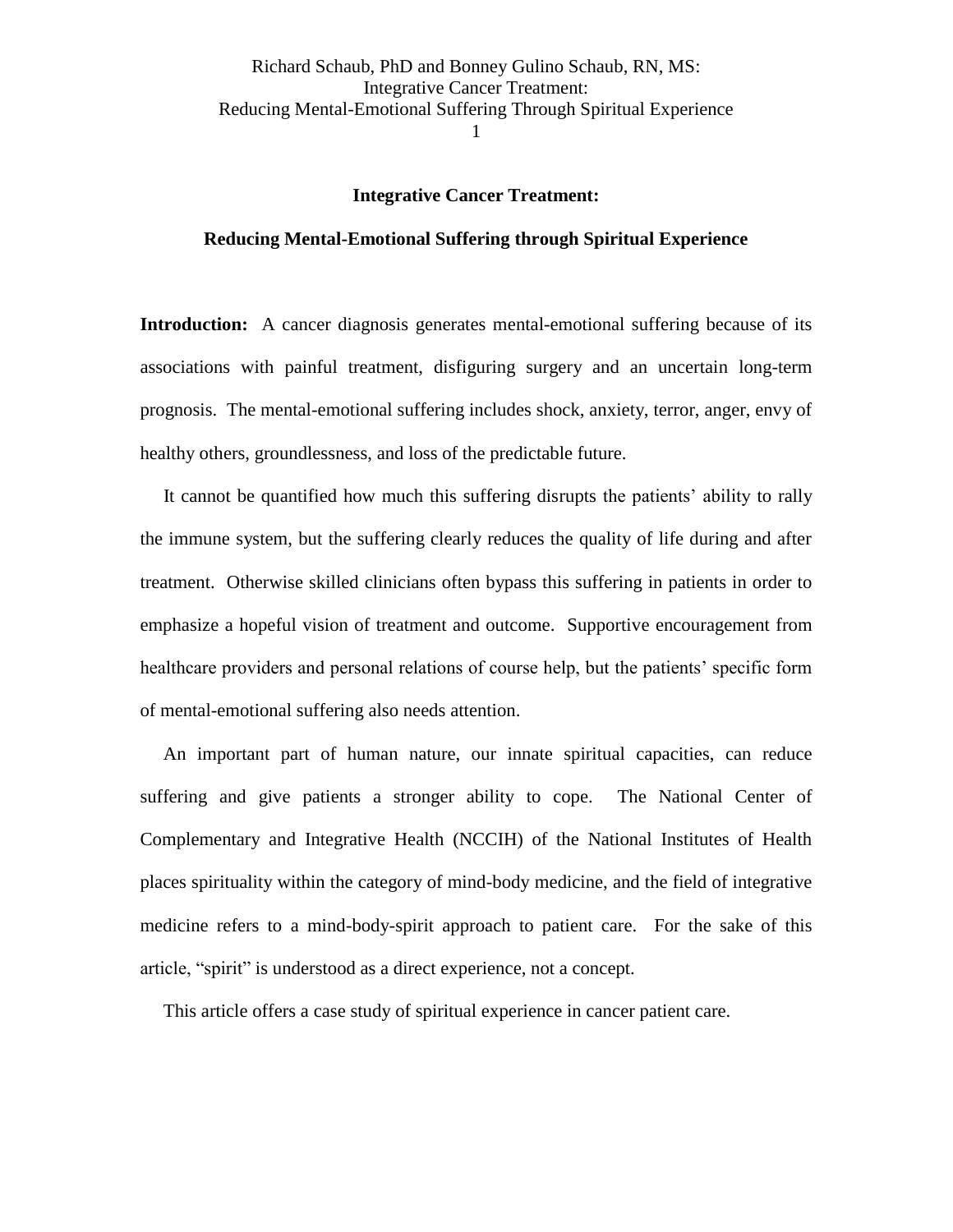### **Integrative Cancer Treatment:**

### **Reducing Mental-Emotional Suffering through Spiritual Experience**

**Introduction:** A cancer diagnosis generates mental-emotional suffering because of its associations with painful treatment, disfiguring surgery and an uncertain long-term prognosis. The mental-emotional suffering includes shock, anxiety, terror, anger, envy of healthy others, groundlessness, and loss of the predictable future.

 It cannot be quantified how much this suffering disrupts the patients' ability to rally the immune system, but the suffering clearly reduces the quality of life during and after treatment. Otherwise skilled clinicians often bypass this suffering in patients in order to emphasize a hopeful vision of treatment and outcome. Supportive encouragement from healthcare providers and personal relations of course help, but the patients' specific form of mental-emotional suffering also needs attention.

 An important part of human nature, our innate spiritual capacities, can reduce suffering and give patients a stronger ability to cope. The National Center of Complementary and Integrative Health (NCCIH) of the National Institutes of Health places spirituality within the category of mind-body medicine, and the field of integrative medicine refers to a mind-body-spirit approach to patient care. For the sake of this article, "spirit" is understood as a direct experience, not a concept.

This article offers a case study of spiritual experience in cancer patient care.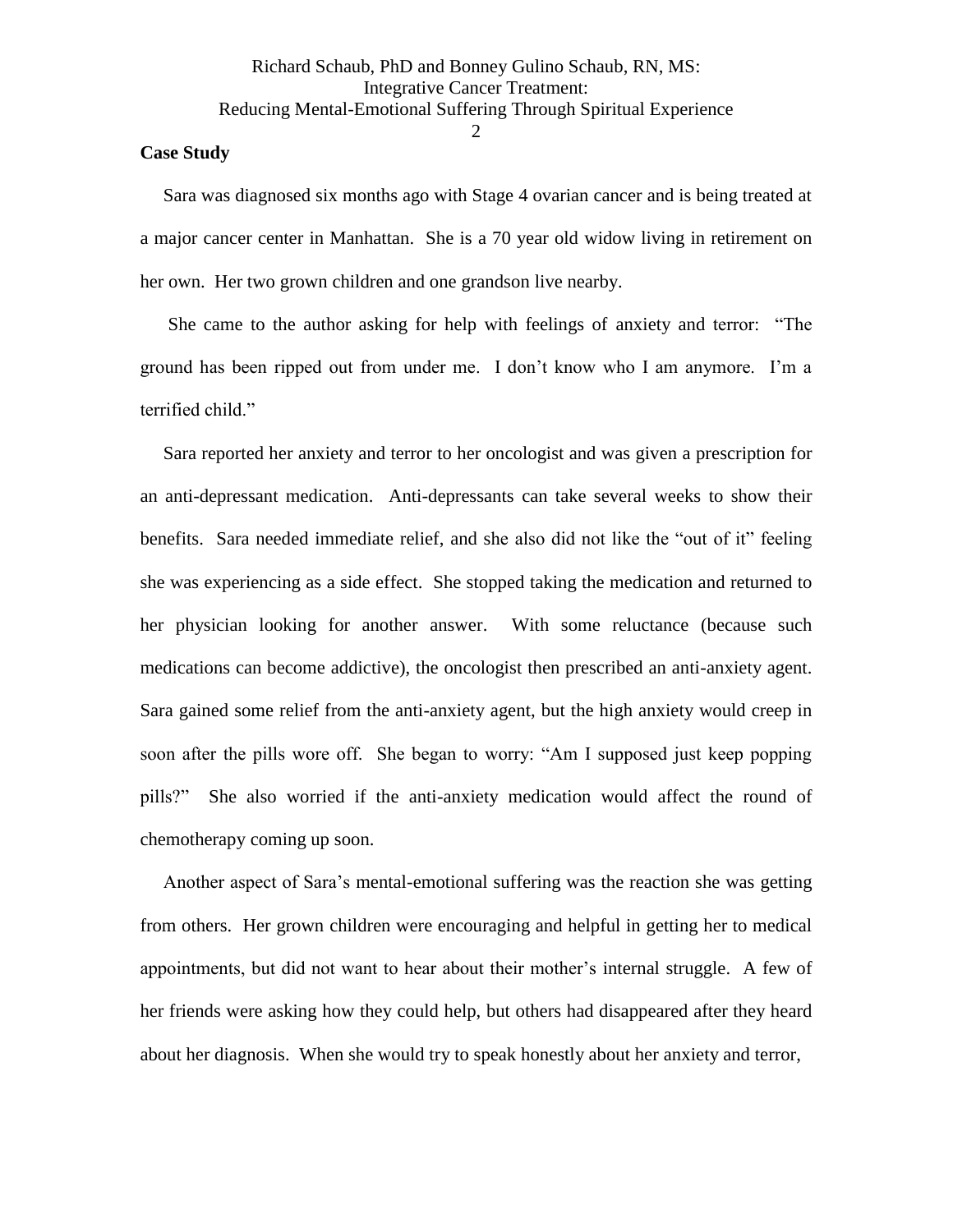### **Case Study**

Sara was diagnosed six months ago with Stage 4 ovarian cancer and is being treated at a major cancer center in Manhattan. She is a 70 year old widow living in retirement on her own. Her two grown children and one grandson live nearby.

 She came to the author asking for help with feelings of anxiety and terror: "The ground has been ripped out from under me. I don't know who I am anymore. I'm a terrified child."

 Sara reported her anxiety and terror to her oncologist and was given a prescription for an anti-depressant medication. Anti-depressants can take several weeks to show their benefits. Sara needed immediate relief, and she also did not like the "out of it" feeling she was experiencing as a side effect. She stopped taking the medication and returned to her physician looking for another answer. With some reluctance (because such medications can become addictive), the oncologist then prescribed an anti-anxiety agent. Sara gained some relief from the anti-anxiety agent, but the high anxiety would creep in soon after the pills wore off. She began to worry: "Am I supposed just keep popping pills?" She also worried if the anti-anxiety medication would affect the round of chemotherapy coming up soon.

 Another aspect of Sara's mental-emotional suffering was the reaction she was getting from others. Her grown children were encouraging and helpful in getting her to medical appointments, but did not want to hear about their mother's internal struggle. A few of her friends were asking how they could help, but others had disappeared after they heard about her diagnosis. When she would try to speak honestly about her anxiety and terror,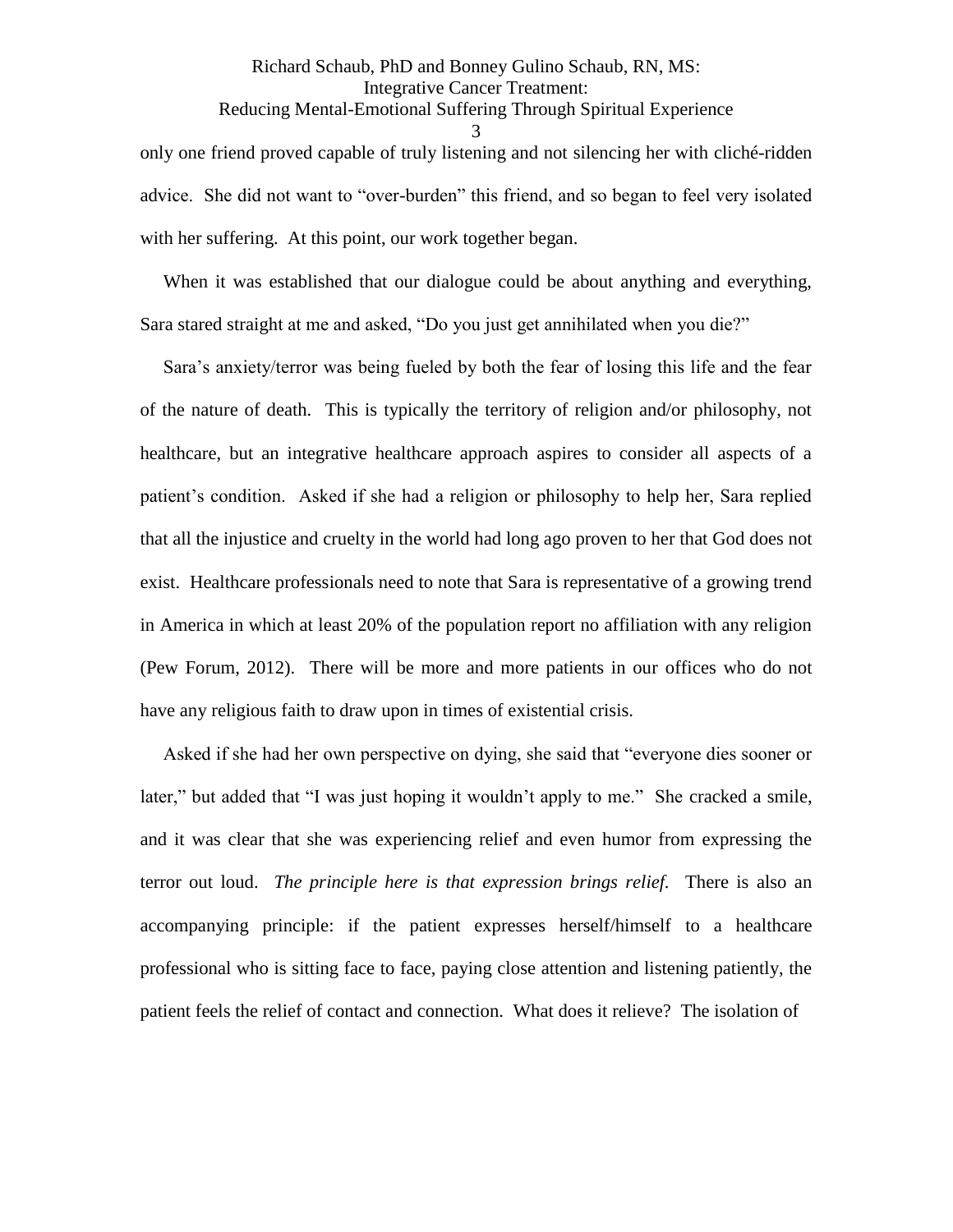### Richard Schaub, PhD and Bonney Gulino Schaub, RN, MS: Integrative Cancer Treatment: Reducing Mental-Emotional Suffering Through Spiritual Experience

3

only one friend proved capable of truly listening and not silencing her with cliché-ridden advice. She did not want to "over-burden" this friend, and so began to feel very isolated with her suffering. At this point, our work together began.

 When it was established that our dialogue could be about anything and everything, Sara stared straight at me and asked, "Do you just get annihilated when you die?"

 Sara's anxiety/terror was being fueled by both the fear of losing this life and the fear of the nature of death. This is typically the territory of religion and/or philosophy, not healthcare, but an integrative healthcare approach aspires to consider all aspects of a patient's condition. Asked if she had a religion or philosophy to help her, Sara replied that all the injustice and cruelty in the world had long ago proven to her that God does not exist. Healthcare professionals need to note that Sara is representative of a growing trend in America in which at least 20% of the population report no affiliation with any religion (Pew Forum, 2012). There will be more and more patients in our offices who do not have any religious faith to draw upon in times of existential crisis.

 Asked if she had her own perspective on dying, she said that "everyone dies sooner or later," but added that "I was just hoping it wouldn't apply to me." She cracked a smile, and it was clear that she was experiencing relief and even humor from expressing the terror out loud. *The principle here is that expression brings relief.* There is also an accompanying principle: if the patient expresses herself/himself to a healthcare professional who is sitting face to face, paying close attention and listening patiently, the patient feels the relief of contact and connection. What does it relieve? The isolation of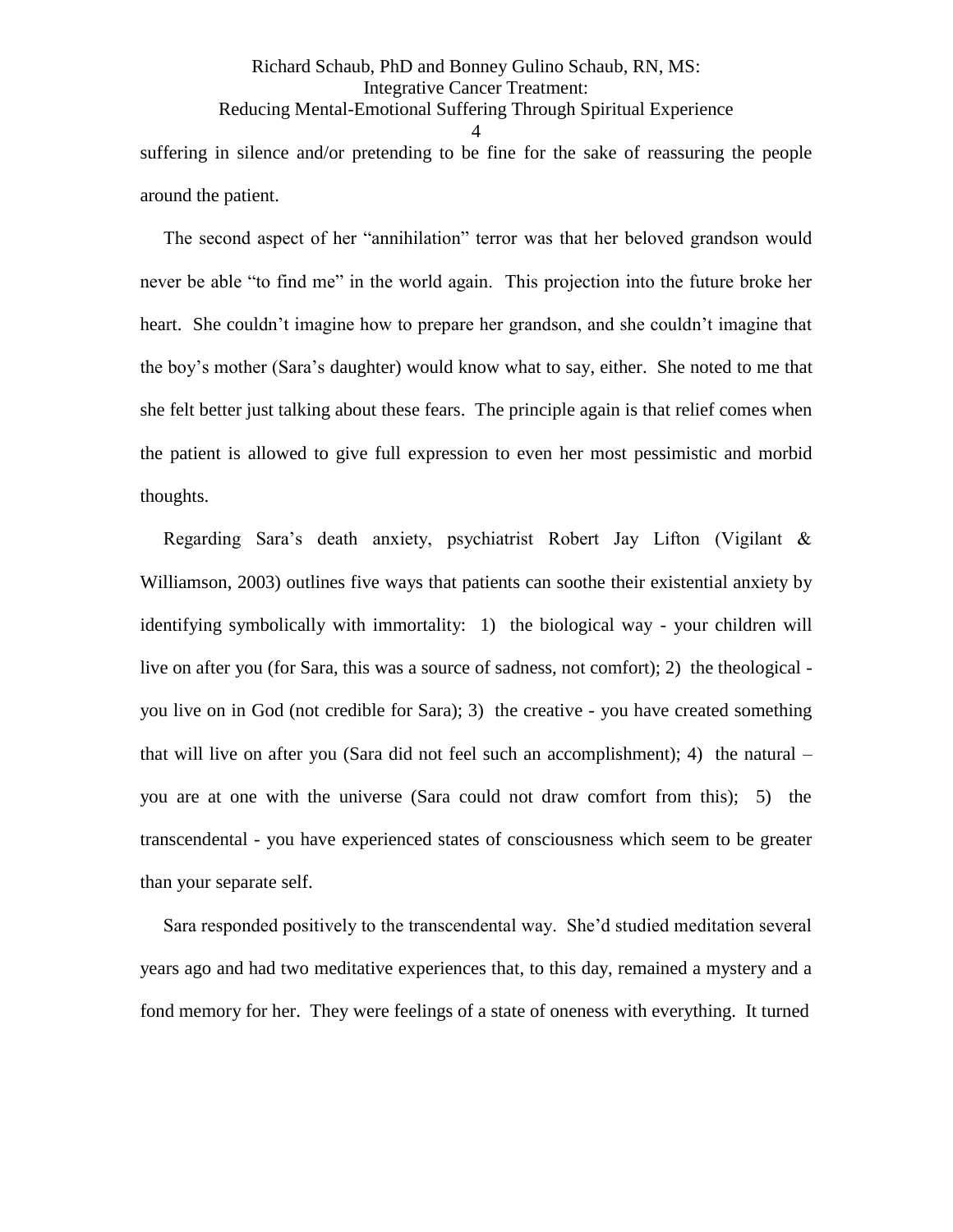# Richard Schaub, PhD and Bonney Gulino Schaub, RN, MS: Integrative Cancer Treatment: Reducing Mental-Emotional Suffering Through Spiritual Experience 4 suffering in silence and/or pretending to be fine for the sake of reassuring the people around the patient.

 The second aspect of her "annihilation" terror was that her beloved grandson would never be able "to find me" in the world again. This projection into the future broke her heart. She couldn't imagine how to prepare her grandson, and she couldn't imagine that the boy's mother (Sara's daughter) would know what to say, either. She noted to me that she felt better just talking about these fears. The principle again is that relief comes when the patient is allowed to give full expression to even her most pessimistic and morbid thoughts.

 Regarding Sara's death anxiety, psychiatrist Robert Jay Lifton (Vigilant & Williamson, 2003) outlines five ways that patients can soothe their existential anxiety by identifying symbolically with immortality: 1) the biological way - your children will live on after you (for Sara, this was a source of sadness, not comfort); 2) the theological you live on in God (not credible for Sara); 3) the creative - you have created something that will live on after you (Sara did not feel such an accomplishment); 4) the natural – you are at one with the universe (Sara could not draw comfort from this); 5) the transcendental - you have experienced states of consciousness which seem to be greater than your separate self.

 Sara responded positively to the transcendental way. She'd studied meditation several years ago and had two meditative experiences that, to this day, remained a mystery and a fond memory for her. They were feelings of a state of oneness with everything. It turned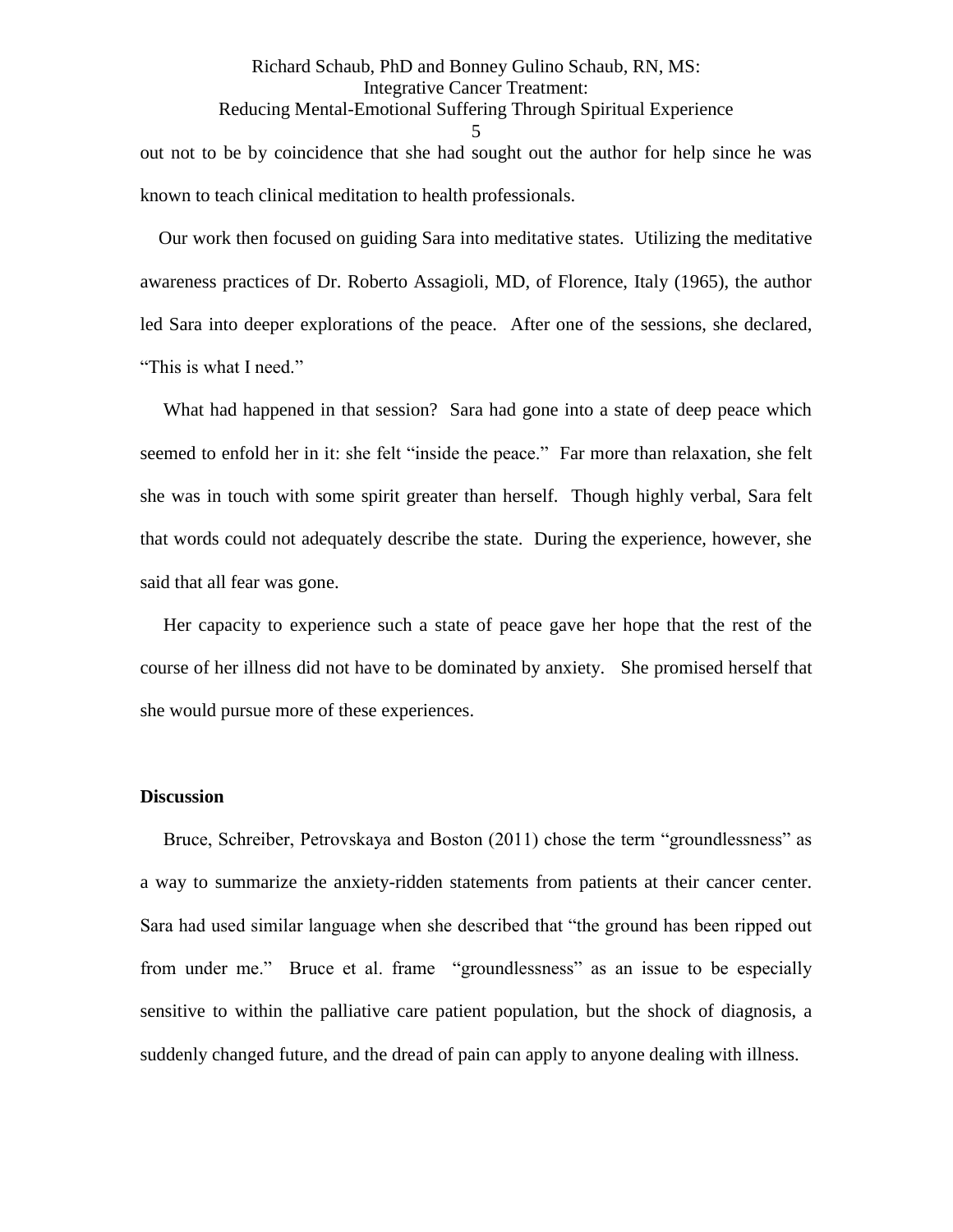Richard Schaub, PhD and Bonney Gulino Schaub, RN, MS: Integrative Cancer Treatment: Reducing Mental-Emotional Suffering Through Spiritual Experience 5 out not to be by coincidence that she had sought out the author for help since he was known to teach clinical meditation to health professionals.

 Our work then focused on guiding Sara into meditative states. Utilizing the meditative awareness practices of Dr. Roberto Assagioli, MD, of Florence, Italy (1965), the author led Sara into deeper explorations of the peace. After one of the sessions, she declared, "This is what I need."

What had happened in that session? Sara had gone into a state of deep peace which seemed to enfold her in it: she felt "inside the peace." Far more than relaxation, she felt she was in touch with some spirit greater than herself. Though highly verbal, Sara felt that words could not adequately describe the state. During the experience, however, she said that all fear was gone.

 Her capacity to experience such a state of peace gave her hope that the rest of the course of her illness did not have to be dominated by anxiety. She promised herself that she would pursue more of these experiences.

### **Discussion**

Bruce, Schreiber, Petrovskaya and Boston (2011) chose the term "groundlessness" as a way to summarize the anxiety-ridden statements from patients at their cancer center. Sara had used similar language when she described that "the ground has been ripped out from under me." Bruce et al. frame "groundlessness" as an issue to be especially sensitive to within the palliative care patient population, but the shock of diagnosis, a suddenly changed future, and the dread of pain can apply to anyone dealing with illness.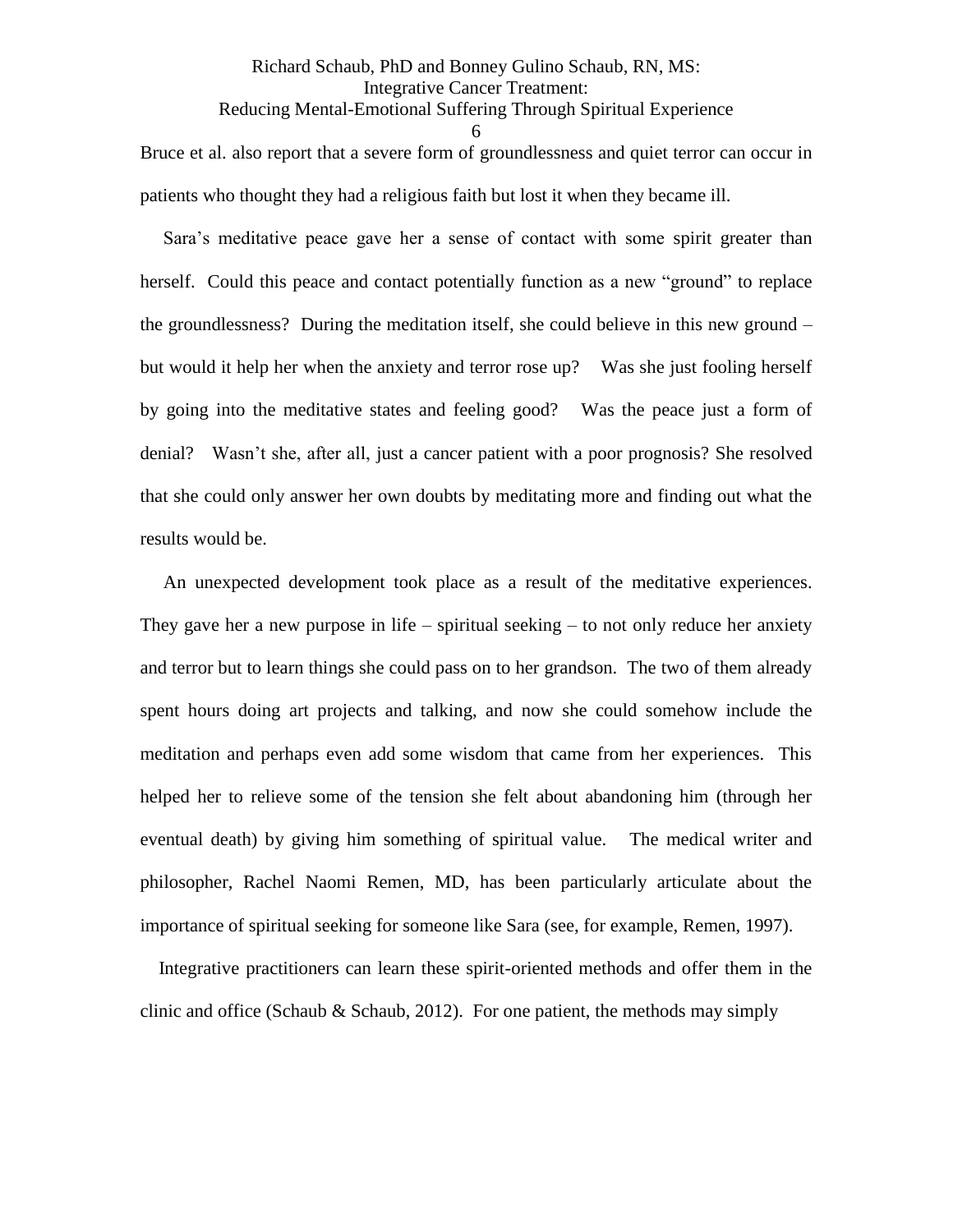# Richard Schaub, PhD and Bonney Gulino Schaub, RN, MS: Integrative Cancer Treatment: Reducing Mental-Emotional Suffering Through Spiritual Experience

6

Bruce et al. also report that a severe form of groundlessness and quiet terror can occur in patients who thought they had a religious faith but lost it when they became ill.

 Sara's meditative peace gave her a sense of contact with some spirit greater than herself. Could this peace and contact potentially function as a new "ground" to replace the groundlessness? During the meditation itself, she could believe in this new ground – but would it help her when the anxiety and terror rose up? Was she just fooling herself by going into the meditative states and feeling good? Was the peace just a form of denial?Wasn't she, after all, just a cancer patient with a poor prognosis? She resolved that she could only answer her own doubts by meditating more and finding out what the results would be.

 An unexpected development took place as a result of the meditative experiences. They gave her a new purpose in life – spiritual seeking – to not only reduce her anxiety and terror but to learn things she could pass on to her grandson. The two of them already spent hours doing art projects and talking, and now she could somehow include the meditation and perhaps even add some wisdom that came from her experiences. This helped her to relieve some of the tension she felt about abandoning him (through her eventual death) by giving him something of spiritual value. The medical writer and philosopher, Rachel Naomi Remen, MD, has been particularly articulate about the importance of spiritual seeking for someone like Sara (see, for example, Remen, 1997).

 Integrative practitioners can learn these spirit-oriented methods and offer them in the clinic and office (Schaub & Schaub, 2012). For one patient, the methods may simply